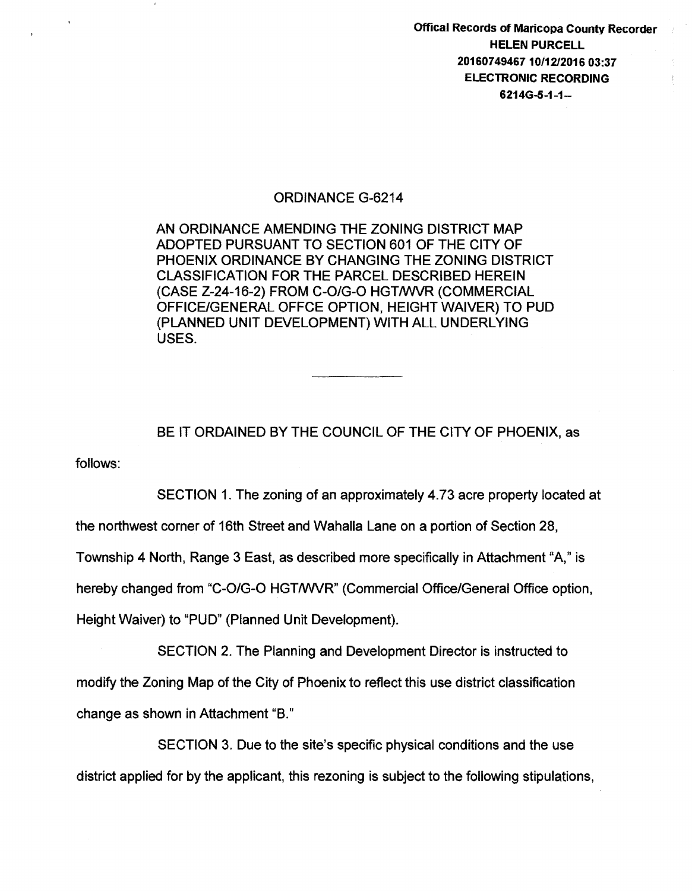Offical Records of Maricopa County Recorder HELEN PURCELL 2016074946710/12/2016 03:37 ELECTRONIC RECORDING 6214G-5-1-1-

## ORDINANCE G-6214

AN ORDINANCE AMENDING THE ZONING DISTRICT MAP ADOPTED PURSUANT TO SECTION 601 OF THE CITY OF PHOENIX ORDINANCE BY CHANGING THE ZONING DISTRICT CLASSIFICATION FOR THE PARCEL DESCRIBED HEREIN (CASE Z-24-16-2) FROM C-O/G-O HGT/WVR (COMMERCIAL OFFICE/GENERAL OFFCE OPTION, HEIGHT WAIVER) TO PUD (PLANNED UNIT DEVELOPMENT) WITH ALL UNDERLYING USES.

follows: BE IT ORDAINED BY THE COUNCIL OF THE CITY OF PHOENIX, as

SECTION 1. The zoning of an approximately 4.73 acre property located at

the northwest corner of 16th Street and Wahalla Lane on a portion of Section 28,

Township 4 North, Range 3 East, as described more specifically in Attachment "A," is

hereby changed from "C-O/G-O HGT/WVR" (Commercial Office/General Office option,

Height Waiver) to "PUD" (Planned Unit Development).

SECTION 2. The Planning and Development Director is instructed to modify the Zoning Map of the City of Phoenix to reflect this use district classification change as shown in Attachment "B."

SECTION 3. Due to the site's specific physical conditions and the use district applied for by the applicant, this rezoning is subject to the following stipulations,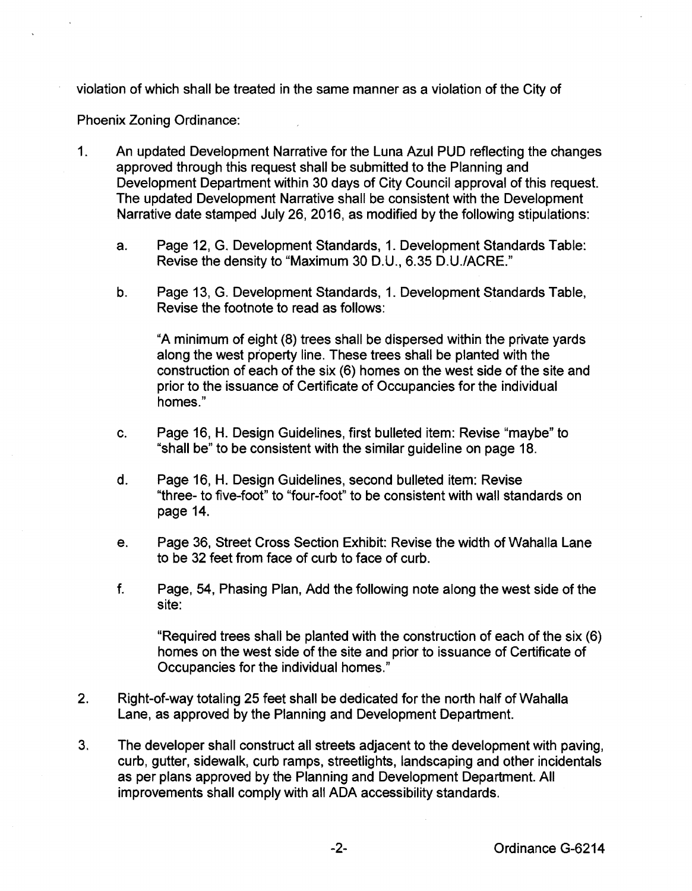violation of which shall be treated in the same manner as a violation of the City of

Phoenix Zoning Ordinance:

- 1. An updated Development Narrative for the Luna Azul PUD reflecting the changes approved through this request shall be submitted to the Planning and Development Department within 30 days of City Council approval of this request. The updated Development Narrative shall be consistent with the Development Narrative date stamped July 26, 2016, as modified by the following stipulations:
	- a. Page 12, G. Development Standards, 1. Development Standards Table: Revise the density to "Maximum 30 D.U., 6.35 D.U./ACRE."
	- b. Page 13, G. Development Standards, 1. Development Standards Table, Revise the footnote to read as follows:

"A minimum of eight (8) trees shall be dispersed within the private yards along the west property line. These trees shall be planted with the construction of each of the six (6) homes on the west side of the site and prior to the issuance of Certificate of Occupancies for the individual homes."

- c. Page 16, H. Design Guidelines, first bulleted item: Revise "maybe" to "shall be" to be consistent with the similar guideline on page 18.
- d. Page 16, H. Design Guidelines, second bullated item: Revise "three- to five-foot" to "four-foot" to be consistent with wall standards on page 14.
- e. Page 36, Street Cross Section Exhibit: Revise the width of Wahalla Lane to be 32 feet from face of curb to face of curb.
- f. Page, 54, Phasing Plan, Add the following note along the west side of the site:

"Required trees shall be planted with the construction of each of the six (6) homes on the west side of the site and prior to issuance of Certificate of Occupancies for the individual homes."

- 2. Right-of-way totaling 25 feet shall be dedicated for the north half of Wahalla Lane, as approved by the Planning and Development Department.
- 3. The developer shall construct all streets adjacent to the development with paving, curb, gutter, sidewalk, curb ramps, streetlights, landscaping and other incidentals as per plans approved by the Planning and Development Department. All improvements shall comply with all ADA accessibility standards.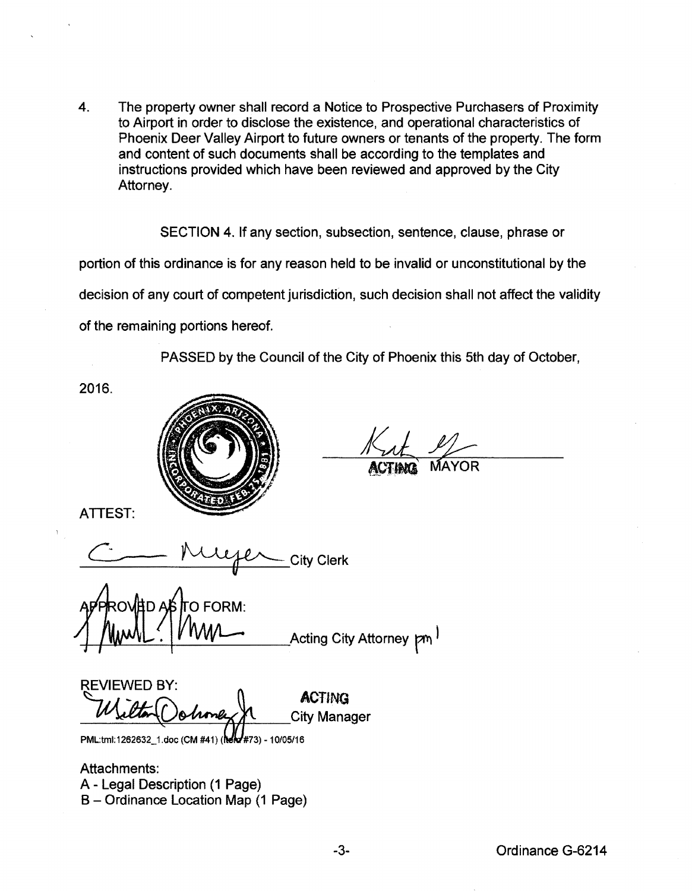4. The property owner shall record a Notice to Prospective Purchasers of Proximity to Airport in order to disclose the existence, and operational characteristics of Phoenix Deer Valley Airport to future owners or tenants of the property. The form and content of such documents shall be according to the templates and instructions provided which have been reviewed and approved by the City Attorney.

SECTION 4. If any section, subsection, sentence, clause, phrase or portion of this ordinance is for any reason held to be invalid or unconstitutional by the decision of any court of competent jurisdiction, such decision shall not affect the validity of the remaining portions hereof.

PASSED by the Council of the City of Phoenix this 5th day of October,

2016.



ATTEST:

City Clerk

O FORM: 'A ∩ A Acting City Attorney pm<sup>1</sup>

**REVIEWED BY:** ACTING City Manager

PML:tml:1262632\_1.doc (CM #41) (Melo #73) - 10/05/16

Attachments: A- Legal Description (1 Page) B- Ordinance Location Map (1 Page)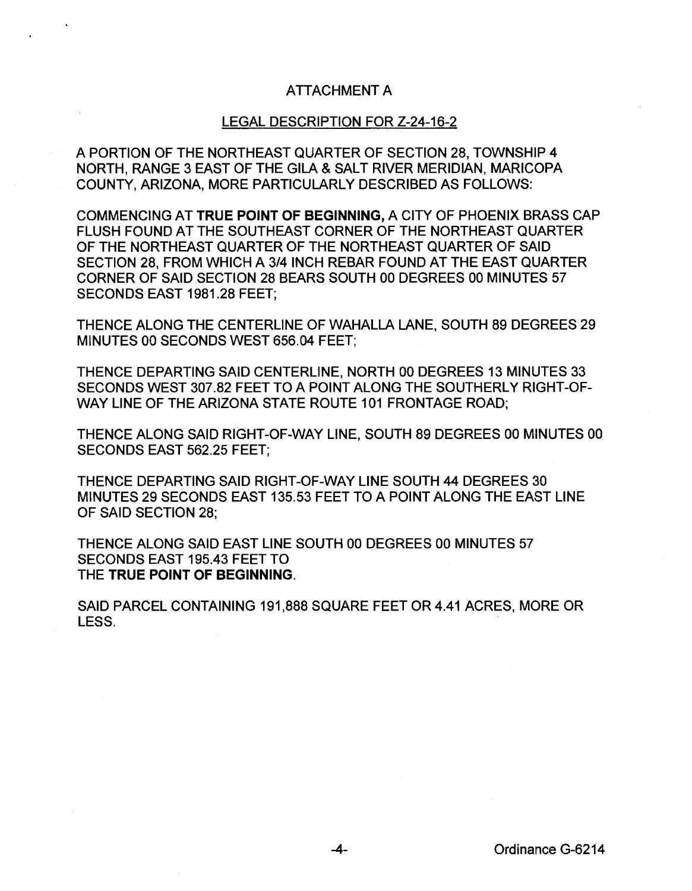## ATTACHMENT A

## LEGAL DESCRIPTION FOR Z-24-16-2

A PORTION OF THE NORTHEAST QUARTER OF SECTION 28, TOWNSHIP 4 NORTH, RANGE 3 EAST OF THE GILA & SALT RIVER MERIDIAN, MARICOPA COUNTY, ARIZONA, MORE PARTICULARLY DESCRIBED AS FOLLOWS:

COMMENCING AT TRUE POINT OF BEGINNING, A CITY OF PHOENIX BRASS CAP FLUSH FOUND AT THE SOUTHEAST CORNER OF THE NORTHEAST QUARTER OF THE NORTHEAST QUARTER OF THE NORTHEAST QUARTER OF SAID SECTION 28, FROM WHICH A 3/4 INCH REBAR FOUND AT THE EAST QUARTER CORNER OF SAID SECTION 28 BEARS SOUTH 00 DEGREES 00 MINUTES 57 SECONDS EAST 1981.28 FEET;

THENCE ALONG THE CENTERLINE OF WAHALLA LANE, SOUTH 89 DEGREES 29 MINUTES 00 SECONDS WEST 656.04 FEET;

THENCE DEPARTING SAID CENTERLINE, NORTH 00 DEGREES 13 MINUTES 33 SECONDS WEST 307.82 FEET TO A POINT ALONG THE SOUTHERLY RIGHT-OF-WAY LINE OF THE ARIZONA STATE ROUTE 101 FRONTAGE ROAD;

THENCE ALONG SAID RIGHT-OF-WAY LINE, SOUTH 89 DEGREES 00 MINUTES 00 SECONDS EAST 562.25 FEET;

THENCE DEPARTING SAID RIGHT-OF-WAY LINE SOUTH 44 DEGREES 30 MINUTES 29 SECONDS EAST 135.53 FEET TO A POINT ALONG THE EAST LINE OF SAID SECTION 28;

THENCE ALONG SAID EAST LINE SOUTH 00 DEGREES 00 MINUTES 57 SECONDS EAST 195.43 FEET TO THE TRUE POINT OF BEGINNING.

SAID PARCEL CONTAINING 191,888 SQUARE FEET OR 4.41 ACRES, MORE OR LESS.